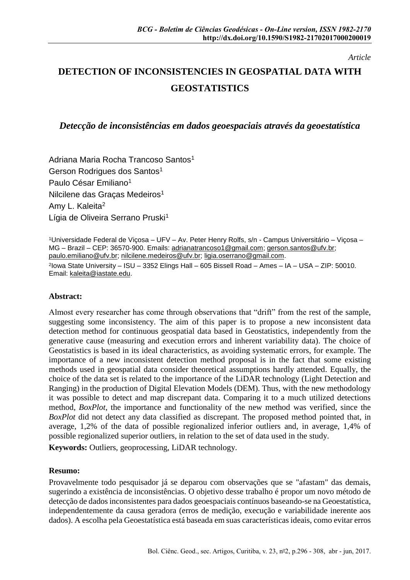*Article*

# **DETECTION OF INCONSISTENCIES IN GEOSPATIAL DATA WITH GEOSTATISTICS**

*Detecção de inconsistências em dados geoespaciais através da geoestatística*

Adriana Maria Rocha Trancoso Santos<sup>1</sup> Gerson Rodrigues dos Santos<sup>1</sup> Paulo César Emiliano<sup>1</sup> Nilcilene das Gracas Medeiros<sup>1</sup> Amy L. Kaleita<sup>2</sup> Lígia de Oliveira Serrano Pruski<sup>1</sup>

<sup>1</sup>Universidade Federal de Viçosa – UFV – Av. Peter Henry Rolfs, s/n - Campus Universitário – Viçosa – MG – Brazil – CEP: 36570-900. Emails: [adrianatrancoso1@gmail.com;](mailto:adrianatrancoso1@gmail.com) [gerson.santos@ufv.br;](mailto:gerson.santos@ufv.br) [paulo.emiliano@ufv.br;](mailto:paulo.emiliano@ufv.br) [nilcilene.medeiros@ufv.br;](mailto:nilcilene.medeiros@ufv.br) [ligia.oserrano@gmail.com.](mailto:ligia.oserrano@gmail.com) 2 Iowa State University – ISU – 3352 Elings Hall – 605 Bissell Road – Ames – IA – USA – ZIP: 50010. Email: [kaleita@iastate.edu.](mailto:kaleita@iastate.edu)

#### **Abstract:**

Almost every researcher has come through observations that "drift" from the rest of the sample, suggesting some inconsistency. The aim of this paper is to propose a new inconsistent data detection method for continuous geospatial data based in Geostatistics, independently from the generative cause (measuring and execution errors and inherent variability data). The choice of Geostatistics is based in its ideal characteristics, as avoiding systematic errors, for example. The importance of a new inconsistent detection method proposal is in the fact that some existing methods used in geospatial data consider theoretical assumptions hardly attended. Equally, the choice of the data set is related to the importance of the LiDAR technology (Light Detection and Ranging) in the production of Digital Elevation Models (DEM). Thus, with the new methodology it was possible to detect and map discrepant data. Comparing it to a much utilized detections method, *BoxPlot*, the importance and functionality of the new method was verified, since the *BoxPlot* did not detect any data classified as discrepant. The proposed method pointed that, in average, 1,2% of the data of possible regionalized inferior outliers and, in average, 1,4% of possible regionalized superior outliers, in relation to the set of data used in the study.

**Keywords:** Outliers, geoprocessing, LiDAR technology.

#### **Resumo:**

Provavelmente todo pesquisador já se deparou com observações que se "afastam" das demais, sugerindo a existência de inconsistências. O objetivo desse trabalho é propor um novo método de detecção de dados inconsistentes para dados geoespaciais contínuos baseando-se na Geoestatística, independentemente da causa geradora (erros de medição, execução e variabilidade inerente aos dados). A escolha pela Geoestatística está baseada em suas características ideais, como evitar erros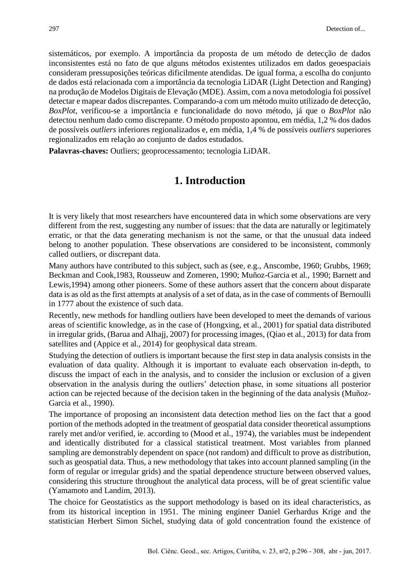sistemáticos, por exemplo. A importância da proposta de um método de detecção de dados inconsistentes está no fato de que alguns métodos existentes utilizados em dados geoespaciais consideram pressuposições teóricas dificilmente atendidas. De igual forma, a escolha do conjunto de dados está relacionada com a importância da tecnologia LiDAR (Light Detection and Ranging) na produção de Modelos Digitais de Elevação (MDE). Assim, com a nova metodologia foi possível detectar e mapear dados discrepantes. Comparando-a com um método muito utilizado de detecção, *BoxPlot*, verificou-se a importância e funcionalidade do novo método, já que o *BoxPlot* não detectou nenhum dado como discrepante. O método proposto apontou, em média, 1,2 % dos dados de possíveis *outliers* inferiores regionalizados e, em média, 1,4 % de possíveis *outliers* superiores regionalizados em relação ao conjunto de dados estudados.

**Palavras-chaves:** Outliers; geoprocessamento; tecnologia LiDAR.

# **1. Introduction**

It is very likely that most researchers have encountered data in which some observations are very different from the rest, suggesting any number of issues: that the data are naturally or legitimately erratic, or that the data generating mechanism is not the same, or that the unusual data indeed belong to another population. These observations are considered to be inconsistent, commonly called outliers, or discrepant data.

Many authors have contributed to this subject, such as (see, e.g., Anscombe, 1960; Grubbs, 1969; Beckman and Cook,1983, Rousseuw and Zomeren, 1990; Muñoz-Garcia et al., 1990; Barnett and Lewis,1994) among other pioneers. Some of these authors assert that the concern about disparate data is as old as the first attempts at analysis of a set of data, as in the case of comments of Bernoulli in 1777 about the existence of such data.

Recently, new methods for handling outliers have been developed to meet the demands of various areas of scientific knowledge, as in the case of (Hongxing, et al., 2001) for spatial data distributed in irregular grids, (Barua and Alhajj, 2007) for processing images, (Qiao et al., 2013) for data from satellites and (Appice et al., 2014) for geophysical data stream.

Studying the detection of outliers is important because the first step in data analysis consists in the evaluation of data quality. Although it is important to evaluate each observation in-depth, to discuss the impact of each in the analysis, and to consider the inclusion or exclusion of a given observation in the analysis during the outliers' detection phase, in some situations all posterior action can be rejected because of the decision taken in the beginning of the data analysis (Muñoz-Garcia et al., 1990).

The importance of proposing an inconsistent data detection method lies on the fact that a good portion of the methods adopted in the treatment of geospatial data consider theoretical assumptions rarely met and/or verified, ie. according to (Mood et al., 1974), the variables must be independent and identically distributed for a classical statistical treatment. Most variables from planned sampling are demonstrably dependent on space (not random) and difficult to prove as distribution, such as geospatial data. Thus, a new methodology that takes into account planned sampling (in the form of regular or irregular grids) and the spatial dependence structure between observed values, considering this structure throughout the analytical data process, will be of great scientific value (Yamamoto and Landim, 2013).

The choice for Geostatistics as the support methodology is based on its ideal characteristics, as from its historical inception in 1951. The mining engineer Daniel Gerhardus Krige and the statistician Herbert Simon Sichel, studying data of gold concentration found the existence of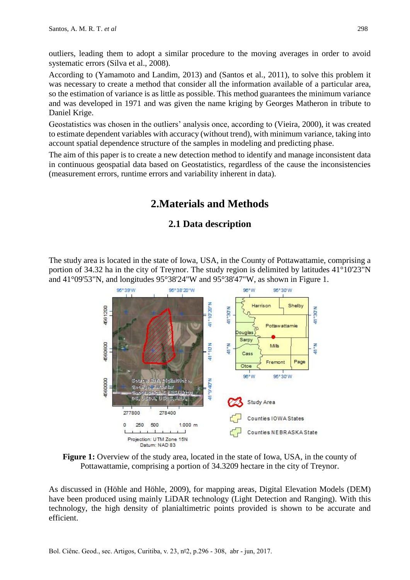outliers, leading them to adopt a similar procedure to the moving averages in order to avoid systematic errors (Silva et al., 2008).

According to (Yamamoto and Landim, 2013) and (Santos et al., 2011), to solve this problem it was necessary to create a method that consider all the information available of a particular area, so the estimation of variance is as little as possible. This method guarantees the minimum variance and was developed in 1971 and was given the name kriging by Georges Matheron in tribute to Daniel Krige.

Geostatistics was chosen in the outliers' analysis once, according to (Vieira, 2000), it was created to estimate dependent variables with accuracy (without trend), with minimum variance, taking into account spatial dependence structure of the samples in modeling and predicting phase.

The aim of this paper is to create a new detection method to identify and manage inconsistent data in continuous geospatial data based on Geostatistics, regardless of the cause the inconsistencies (measurement errors, runtime errors and variability inherent in data).

# **2.Materials and Methods**

### **2.1 Data description**

The study area is located in the state of Iowa, USA, in the County of Pottawattamie, comprising a portion of 34.32 ha in the city of Treynor. The study region is delimited by latitudes 41°10'23"N and 41°09'53"N, and longitudes 95°38'24"W and 95°38'47"W, as shown in Figure 1.



**Figure 1:** Overview of the study area, located in the state of Iowa, USA, in the county of Pottawattamie, comprising a portion of 34.3209 hectare in the city of Treynor.

As discussed in (Höhle and Höhle, 2009), for mapping areas, Digital Elevation Models (DEM) have been produced using mainly LiDAR technology (Light Detection and Ranging). With this technology, the high density of planialtimetric points provided is shown to be accurate and efficient.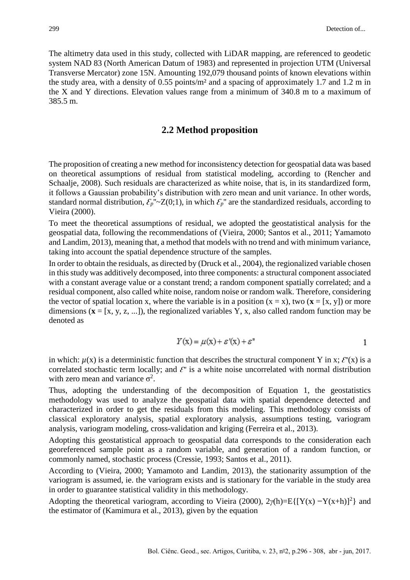The altimetry data used in this study, collected with LiDAR mapping, are referenced to geodetic system NAD 83 (North American Datum of 1983) and represented in projection UTM (Universal Transverse Mercator) zone 15N. Amounting 192,079 thousand points of known elevations within the study area, with a density of 0.55 points/m² and a spacing of approximately 1.7 and 1.2 m in the X and Y directions. Elevation values range from a minimum of 340.8 m to a maximum of 385.5 m.

#### **2.2 Method proposition**

The proposition of creating a new method for inconsistency detection for geospatial data was based on theoretical assumptions of residual from statistical modeling, according to (Rencher and Schaalje, 2008). Such residuals are characterized as white noise, that is, in its standardized form, it follows a Gaussian probability's distribution with zero mean and unit variance. In other words, standard normal distribution,  $\mathcal{E}_p^{\nu}$ ''~Z(0;1), in which  $\mathcal{E}_p^{\nu}$  are the standardized residuals, according to Vieira (2000).

To meet the theoretical assumptions of residual, we adopted the geostatistical analysis for the geospatial data, following the recommendations of (Vieira, 2000; Santos et al., 2011; Yamamoto and Landim, 2013), meaning that, a method that models with no trend and with minimum variance, taking into account the spatial dependence structure of the samples.

In order to obtain the residuals, as directed by (Druck et al., 2004), the regionalized variable chosen in this study was additively decomposed, into three components: a structural component associated with a constant average value or a constant trend; a random component spatially correlated; and a residual component, also called white noise, random noise or random walk. Therefore, considering the vector of spatial location x, where the variable is in a position  $(x = x)$ , two  $(x = [x, y])$  or more dimensions  $(x = [x, y, z, ...])$ , the regionalized variables Y, x, also called random function may be denoted as

$$
Y(x) = \mu(x) + \varepsilon'(x) + \varepsilon''
$$

in which:  $\mu(x)$  is a deterministic function that describes the structural component Y in x;  $\mathcal{E}'(x)$  is a correlated stochastic term locally; and  $\mathcal{E}$ <sup>'</sup> is a white noise uncorrelated with normal distribution with zero mean and variance  $\sigma^2$ .

Thus, adopting the understanding of the decomposition of Equation 1, the geostatistics methodology was used to analyze the geospatial data with spatial dependence detected and characterized in order to get the residuals from this modeling. This methodology consists of classical exploratory analysis, spatial exploratory analysis, assumptions testing, variogram analysis, variogram modeling, cross-validation and kriging (Ferreira et al., 2013).

Adopting this geostatistical approach to geospatial data corresponds to the consideration each georeferenced sample point as a random variable, and generation of a random function, or commonly named, stochastic process (Cressie, 1993; Santos et al., 2011).

According to (Vieira, 2000; Yamamoto and Landim, 2013), the stationarity assumption of the variogram is assumed, ie. the variogram exists and is stationary for the variable in the study area in order to guarantee statistical validity in this methodology.

Adopting the theoretical variogram, according to Vieira (2000),  $2\gamma(h)=E\{[Y(x) - Y(x+h)]^2\}$  and the estimator of (Kamimura et al., 2013), given by the equation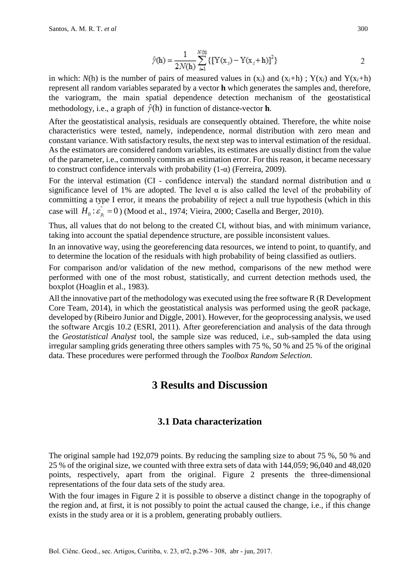$$
\hat{\gamma}(\mathbf{h}) = \frac{1}{2N(\mathbf{h})} \sum_{i=1}^{N(\mathbf{h})} \{ \left[ Y(\mathbf{x}_i) - Y(\mathbf{x}_i + \mathbf{h}) \right]^2 \}
$$
 2

in which:  $N(h)$  is the number of pairs of measured values in  $(x_i)$  and  $(x_i+h)$ ;  $Y(x_i)$  and  $Y(x_i+h)$ represent all random variables separated by a vector **h** which generates the samples and, therefore, the variogram, the main spatial dependence detection mechanism of the geostatistical methodology, i.e., a graph of  $\hat{\gamma}$ (h) in function of distance-vector **h**.

After the geostatistical analysis, residuals are consequently obtained. Therefore, the white noise characteristics were tested, namely, independence, normal distribution with zero mean and constant variance. With satisfactory results, the next step was to interval estimation of the residual. As the estimators are considered random variables, its estimates are usually distinct from the value of the parameter, i.e., commonly commits an estimation error. For this reason, it became necessary to construct confidence intervals with probability (1-α) (Ferreira, 2009).

For the interval estimation (CI - confidence interval) the standard normal distribution and  $\alpha$ significance level of 1% are adopted. The level  $\alpha$  is also called the level of the probability of committing a type I error, it means the probability of reject a null true hypothesis (which in this case will  $H_0: \varepsilon_n$  $H_0: \varepsilon_{p_i}^{\dagger} = 0$  ) (Mood et al., 1974; Vieira, 2000; Casella and Berger, 2010).

Thus, all values that do not belong to the created CI, without bias, and with minimum variance, taking into account the spatial dependence structure, are possible inconsistent values.

In an innovative way, using the georeferencing data resources, we intend to point, to quantify, and to determine the location of the residuals with high probability of being classified as outliers.

For comparison and/or validation of the new method, comparisons of the new method were performed with one of the most robust, statistically, and current detection methods used, the boxplot (Hoaglin et al., 1983).

All the innovative part of the methodology was executed using the free software R (R Development Core Team, 2014), in which the geostatistical analysis was performed using the geoR package, developed by (Ribeiro Junior and Diggle, 2001). However, for the geoprocessing analysis, we used the software Arcgis 10.2 (ESRI, 2011). After georeferenciation and analysis of the data through the *Geostatistical Analyst* tool, the sample size was reduced, i.e., sub-sampled the data using irregular sampling grids generating three others samples with 75 %, 50 % and 25 % of the original data. These procedures were performed through the *Toolbox Random Selection.*

## **3 Results and Discussion**

### **3.1 Data characterization**

The original sample had 192,079 points. By reducing the sampling size to about 75 %, 50 % and 25 % of the original size, we counted with three extra sets of data with 144,059; 96,040 and 48,020 points, respectively, apart from the original. Figure 2 presents the three-dimensional representations of the four data sets of the study area.

With the four images in Figure 2 it is possible to observe a distinct change in the topography of the region and, at first, it is not possibly to point the actual caused the change, i.e., if this change exists in the study area or it is a problem, generating probably outliers.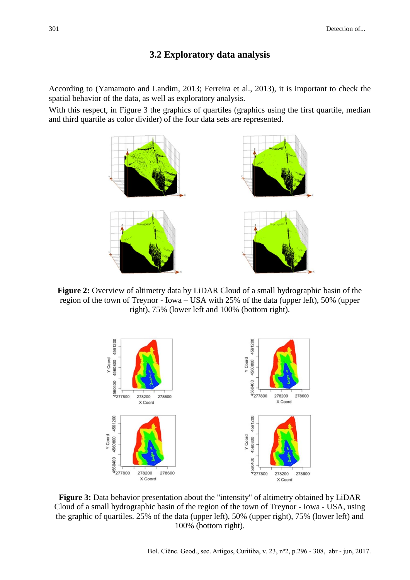#### **3.2 Exploratory data analysis**

According to (Yamamoto and Landim, 2013; Ferreira et al., 2013), it is important to check the spatial behavior of the data, as well as exploratory analysis.

With this respect, in Figure 3 the graphics of quartiles (graphics using the first quartile, median and third quartile as color divider) of the four data sets are represented.



**Figure 2:** Overview of altimetry data by LiDAR Cloud of a small hydrographic basin of the region of the town of Treynor - Iowa – USA with 25% of the data (upper left), 50% (upper right), 75% (lower left and 100% (bottom right).



**Figure 3:** Data behavior presentation about the "intensity" of altimetry obtained by LiDAR Cloud of a small hydrographic basin of the region of the town of Treynor - Iowa - USA, using the graphic of quartiles. 25% of the data (upper left), 50% (upper right), 75% (lower left) and 100% (bottom right).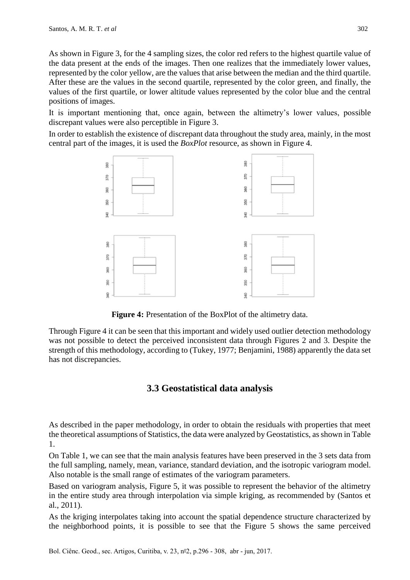As shown in Figure 3, for the 4 sampling sizes, the color red refers to the highest quartile value of the data present at the ends of the images. Then one realizes that the immediately lower values, represented by the color yellow, are the values that arise between the median and the third quartile. After these are the values in the second quartile, represented by the color green, and finally, the values of the first quartile, or lower altitude values represented by the color blue and the central positions of images.

It is important mentioning that, once again, between the altimetry's lower values, possible discrepant values were also perceptible in Figure 3.

In order to establish the existence of discrepant data throughout the study area, mainly, in the most central part of the images, it is used the *BoxPlot* resource, as shown in Figure 4.



**Figure 4:** Presentation of the BoxPlot of the altimetry data.

Through Figure 4 it can be seen that this important and widely used outlier detection methodology was not possible to detect the perceived inconsistent data through Figures 2 and 3. Despite the strength of this methodology, according to (Tukey, 1977; Benjamini, 1988) apparently the data set has not discrepancies.

### **3.3 Geostatistical data analysis**

As described in the paper methodology, in order to obtain the residuals with properties that meet the theoretical assumptions of Statistics, the data were analyzed by Geostatistics, as shown in Table 1.

On Table 1, we can see that the main analysis features have been preserved in the 3 sets data from the full sampling, namely, mean, variance, standard deviation, and the isotropic variogram model. Also notable is the small range of estimates of the variogram parameters.

Based on variogram analysis, Figure 5, it was possible to represent the behavior of the altimetry in the entire study area through interpolation via simple kriging, as recommended by (Santos et al., 2011).

As the kriging interpolates taking into account the spatial dependence structure characterized by the neighborhood points, it is possible to see that the Figure 5 shows the same perceived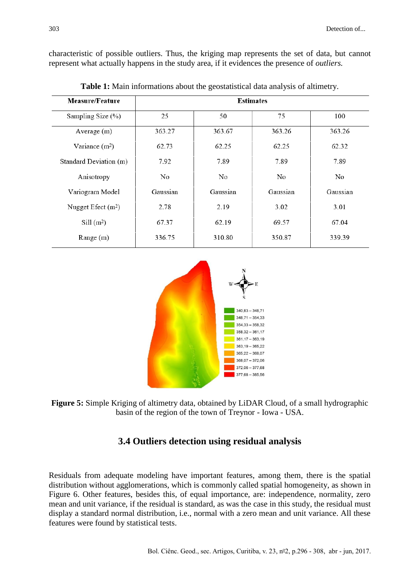characteristic of possible outliers. Thus, the kriging map represents the set of data, but cannot represent what actually happens in the study area, if it evidences the presence of *outliers.*

| Measure/Feature        | <b>Estimates</b> |          |          |          |
|------------------------|------------------|----------|----------|----------|
| Sampling Size (%)      | 25               | 50       | 75       | 100      |
| Average $(m)$          | 363.27           | 363.67   | 363.26   | 363.26   |
| Variance $(m^2)$       | 62.73            | 62.25    | 62.25    | 62.32    |
| Standard Deviation (m) | 7.92             | 7.89     | 7.89     | 7.89     |
| Anisotropy             | No               | No.      | No.      | No       |
| Variogram Model        | Gaussian         | Gaussian | Gaussian | Gaussian |
| Nugget Efect $(m2)$    | 2.78             | 2.19     | 3.02     | 3.01     |
| Sill(m <sup>2</sup> )  | 67.37            | 62.19    | 69.57    | 67.04    |
| Range $(m)$            | 336.75           | 310.80   | 350.87   | 339.39   |

**Table 1:** Main informations about the geostatistical data analysis of altimetry.





### **3.4 Outliers detection using residual analysis**

Residuals from adequate modeling have important features, among them, there is the spatial distribution without agglomerations, which is commonly called spatial homogeneity, as shown in Figure 6. Other features, besides this, of equal importance, are: independence, normality, zero mean and unit variance, if the residual is standard, as was the case in this study, the residual must display a standard normal distribution, i.e., normal with a zero mean and unit variance. All these features were found by statistical tests.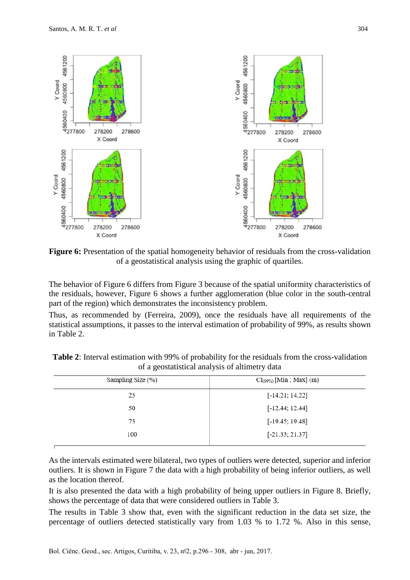

**Figure 6:** Presentation of the spatial homogeneity behavior of residuals from the cross-validation of a geostatistical analysis using the graphic of quartiles.

The behavior of Figure 6 differs from Figure 3 because of the spatial uniformity characteristics of the residuals, however, Figure 6 shows a further agglomeration (blue color in the south-central part of the region) which demonstrates the inconsistency problem.

Thus, as recommended by (Ferreira, 2009), once the residuals have all requirements of the statistical assumptions, it passes to the interval estimation of probability of 99%, as results shown in Table 2.

| Sampling Size (%) | $CI_{(99\%)}$ [Min ; Max] (m) |
|-------------------|-------------------------------|
| 25                | $[-14.21; 14.22]$             |
| 50                | $[-12.44; 12.44]$             |
| 75                | $[-19.45; 19.48]$             |
| 100               | $[-21.33; 21.37]$             |
|                   |                               |

**Table 2**: Interval estimation with 99% of probability for the residuals from the cross-validation of a geostatistical analysis of altimetry data

As the intervals estimated were bilateral, two types of outliers were detected, superior and inferior outliers. It is shown in Figure 7 the data with a high probability of being inferior outliers, as well as the location thereof.

It is also presented the data with a high probability of being upper outliers in Figure 8. Briefly, shows the percentage of data that were considered outliers in Table 3.

The results in Table 3 show that, even with the significant reduction in the data set size, the percentage of outliers detected statistically vary from 1.03 % to 1.72 %. Also in this sense,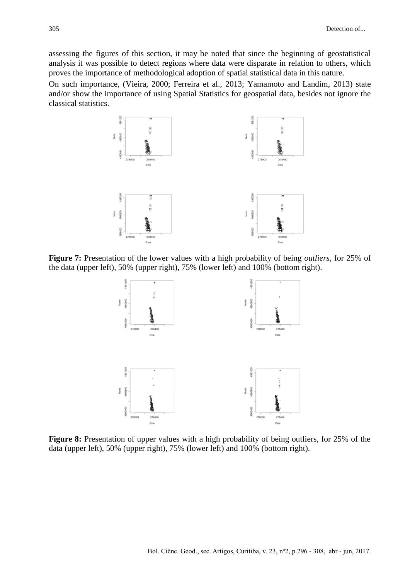assessing the figures of this section, it may be noted that since the beginning of geostatistical analysis it was possible to detect regions where data were disparate in relation to others, which proves the importance of methodological adoption of spatial statistical data in this nature.

On such importance, (Vieira, 2000; Ferreira et al., 2013; Yamamoto and Landim, 2013) state and/or show the importance of using Spatial Statistics for geospatial data, besides not ignore the classical statistics.



**Figure 7:** Presentation of the lower values with a high probability of being *outliers*, for 25% of the data (upper left), 50% (upper right), 75% (lower left) and 100% (bottom right).



**Figure 8:** Presentation of upper values with a high probability of being outliers, for 25% of the data (upper left), 50% (upper right), 75% (lower left) and 100% (bottom right).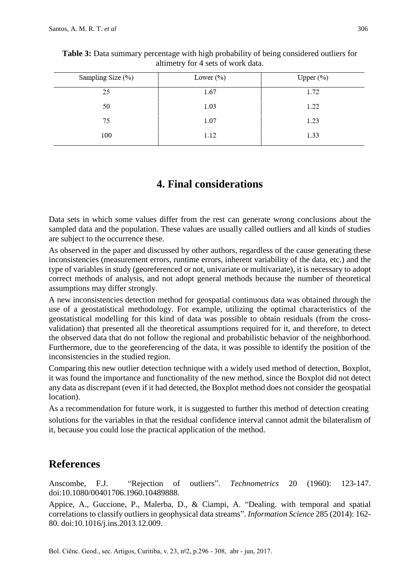| Lower $(\%)$ | Upper $(\%)$ |
|--------------|--------------|
| 1.67         | 1.72         |
| 1.03         | 1.22         |
| 1.07         | 1.23         |
| 1.12         | 1.33         |
|              |              |

**Table 3:** Data summary percentage with high probability of being considered outliers for altimetry for 4 sets of work data.

# **4. Final considerations**

Data sets in which some values differ from the rest can generate wrong conclusions about the sampled data and the population. These values are usually called outliers and all kinds of studies are subject to the occurrence these.

As observed in the paper and discussed by other authors, regardless of the cause generating these inconsistencies (measurement errors, runtime errors, inherent variability of the data, etc.) and the type of variables in study (georeferenced or not, univariate or multivariate), it is necessary to adopt correct methods of analysis, and not adopt general methods because the number of theoretical assumptions may differ strongly.

A new inconsistencies detection method for geospatial continuous data was obtained through the use of a geostatistical methodology. For example, utilizing the optimal characteristics of the geostatistical modelling for this kind of data was possible to obtain residuals (from the crossvalidation) that presented all the theoretical assumptions required for it, and therefore, to detect the observed data that do not follow the regional and probabilistic behavior of the neighborhood. Furthermore, due to the georeferencing of the data, it was possible to identify the position of the inconsistencies in the studied region.

Comparing this new outlier detection technique with a widely used method of detection, Boxplot, it was found the importance and functionality of the new method, since the Boxplot did not detect any data as discrepant (even if it had detected, the Boxplot method does not consider the geospatial location).

As a recommendation for future work, it is suggested to further this method of detection creating solutions for the variables in that the residual confidence interval cannot admit the bilateralism of it, because you could lose the practical application of the method.

# **References**

Anscombe, F.J. "Rejection of outliers". *Technometrics* 20 (1960): 123-147. doi:10.1080/00401706.1960.10489888.

Appice, A., Guccione, P., Malerba, D., & Ciampi, A. "Dealing. with temporal and spatial correlations to classify outliers in geophysical data streams". *Information Science* 285 (2014): 162- 80. doi:10.1016/j.ins.2013.12.009.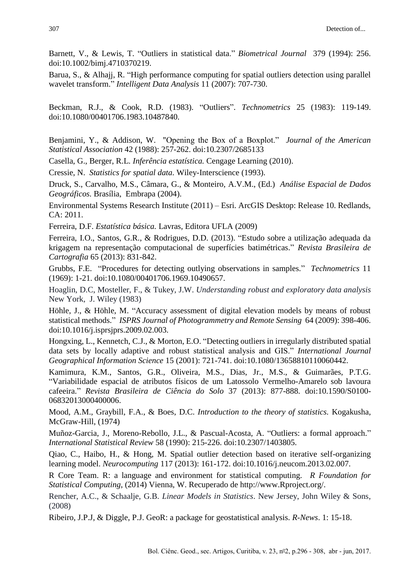Barnett, V., & Lewis, T. "Outliers in statistical data." *Biometrical Journal* 379 (1994): 256. doi:10.1002/bimj.4710370219.

Barua, S., & Alhajj, R. "High performance computing for spatial outliers detection using parallel wavelet transform." *Intelligent Data Analysis* 11 (2007): 707-730.

Beckman, R.J., & Cook, R.D. (1983). "Outliers". *Technometrics* 25 (1983): 119-149. doi:10.1080/00401706.1983.10487840.

Benjamini, Y., & Addison, W. "Opening the Box of a Boxplot." *Journal of the American Statistical Association* 42 (1988): 257-262. [doi:](http://en.wikipedia.org/wiki/Digital_object_identifier)10.2307/2685133

Casella, G., Berger, R.L. *Inferência estatística.* Cengage Learning (2010).

Cressie, N. *Statistics for spatial data.* Wiley-Interscience (1993).

Druck, S., Carvalho, M.S., Câmara, G., & Monteiro, A.V.M., (Ed.) *Análise Espacial de Dados Geográficos.* Brasília, Embrapa (2004).

Environmental Systems Research Institute (2011) – Esri. ArcGIS Desktop: Release 10. Redlands, CA: 2011.

Ferreira, D.F. *Estatística básica.* Lavras, Editora UFLA (2009)

Ferreira, I.O., Santos, G.R., & Rodrigues, D.D. (2013). "Estudo sobre a utilização adequada da krigagem na representação computacional de superfícies batimétricas." *Revista Brasileira de Cartografia* 65 (2013): 831-842.

Grubbs, F.E. "Procedures for detecting outlying observations in samples." *Technometrics* 11 (1969): 1-21. doi:10.1080/00401706.1969.10490657.

Hoaglin, D.C, Mosteller, F., & Tukey, J.W. *Understanding robust and exploratory data analysis* New York, J. Wiley (1983)

Höhle, J., & Höhle, M. "Accuracy assessment of digital elevation models by means of robust statistical methods." *ISPRS Journal of Photogrammetry and Remote Sensing* 64 (2009): 398-406. doi:10.1016/j.isprsjprs.2009.02.003.

Hongxing, L., Kennetch, C.J., & Morton, E.O. "Detecting outliers in irregularly distributed spatial data sets by locally adaptive and robust statistical analysis and GIS." *International Journal Geographical Information Science* 15 (2001): 721-741. doi:10.1080/13658810110060442.

Kamimura, K.M., Santos, G.R., Oliveira, M.S., Dias, Jr., M.S., & Guimarães, P.T.G. "Variabilidade espacial de atributos físicos de um Latossolo Vermelho-Amarelo sob lavoura cafeeira." *Revista Brasileira de Ciência do Solo* 37 (2013): 877-888. doi:10.1590/S0100- 06832013000400006.

Mood, A.M., Graybill, F.A., & Boes, D.C. *Introduction to the theory of statistics.* Kogakusha, McGraw-Hill, (1974)

Muñoz-Garcia, J., Moreno-Rebollo, J.L., & Pascual-Acosta, A. "Outliers: a formal approach." *International Statistical Review* 58 (1990): 215-226. doi:10.2307/1403805.

Qiao, C., Haibo, H., & Hong, M. Spatial outlier detection based on iterative self-organizing learning model. *Neurocomputing* 117 (2013): 161-172. doi:10.1016/j.neucom.2013.02.007.

R Core Team. R: a language and environment for statistical computing. *R Foundation for Statistical Computing*, (2014) Vienna, W. Recuperado de http://www.Rproject.org/.

Rencher, A.C., & Schaalje, G.B. *Linear Models in Statistics*. New Jersey, John Wiley & Sons, (2008)

Ribeiro, J.P.J, & Diggle, P.J. GeoR: a package for geostatistical analysis. *R-News*. 1: 15-18.